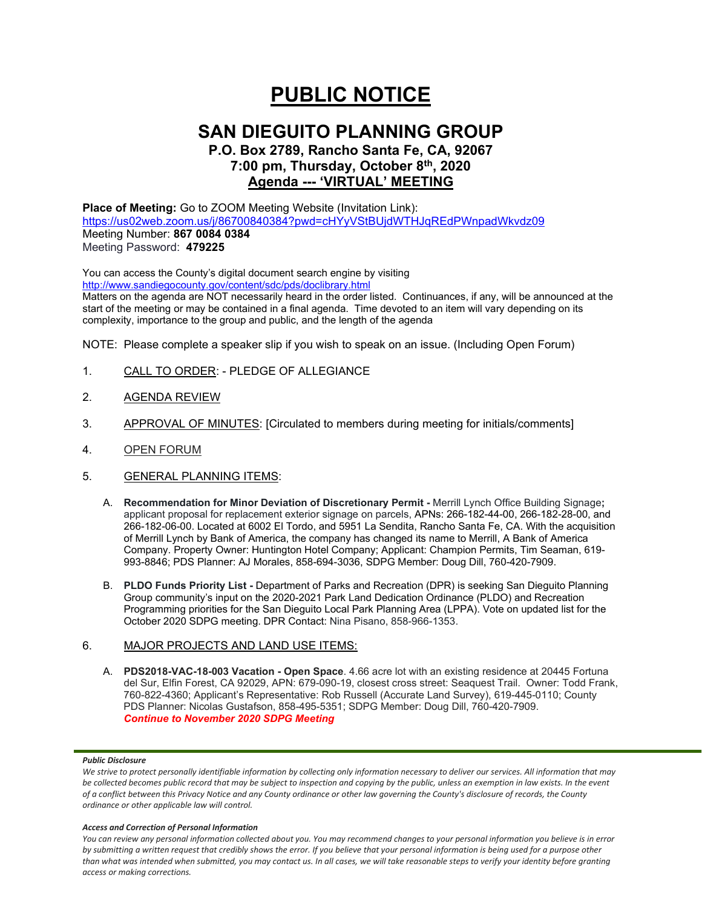# **PUBLIC NOTICE**

# **SAN DIEGUITO PLANNING GROUP**

# **P.O. Box 2789, Rancho Santa Fe, CA, 92067 7:00 pm, Thursday, October 8th, 2020 Agenda --- 'VIRTUAL' MEETING**

**Place of Meeting:** Go to ZOOM Meeting Website (Invitation Link): <https://us02web.zoom.us/j/86700840384?pwd=cHYyVStBUjdWTHJqREdPWnpadWkvdz09> Meeting Number: **867 0084 0384** Meeting Password: **479225**

You can access the County's digital document search engine by visiting <http://www.sandiegocounty.gov/content/sdc/pds/doclibrary.html>

Matters on the agenda are NOT necessarily heard in the order listed. Continuances, if any, will be announced at the start of the meeting or may be contained in a final agenda. Time devoted to an item will vary depending on its complexity, importance to the group and public, and the length of the agenda

NOTE: Please complete a speaker slip if you wish to speak on an issue. (Including Open Forum)

- 1. CALL TO ORDER: PLEDGE OF ALLEGIANCE
- 2. AGENDA REVIEW
- 3. APPROVAL OF MINUTES: [Circulated to members during meeting for initials/comments]
- 4. OPEN FORUM
- 5. GENERAL PLANNING ITEMS:
	- A. **Recommendation for Minor Deviation of Discretionary Permit -** Merrill Lynch Office Building Signage**;** applicant proposal for replacement exterior signage on parcels, APNs: 266-182-44-00, 266-182-28-00, and 266-182-06-00. Located at 6002 El Tordo, and 5951 La Sendita, Rancho Santa Fe, CA. With the acquisition of Merrill Lynch by Bank of America, the company has changed its name to Merrill, A Bank of America Company. Property Owner: Huntington Hotel Company; Applicant: Champion Permits, Tim Seaman, 619- 993-8846; PDS Planner: AJ Morales, 858-694-3036, SDPG Member: Doug Dill, 760-420-7909.
	- B. **PLDO Funds Priority List -** Department of Parks and Recreation (DPR) is seeking San Dieguito Planning Group community's input on the 2020-2021 Park Land Dedication Ordinance (PLDO) and Recreation Programming priorities for the San Dieguito Local Park Planning Area (LPPA). Vote on updated list for the October 2020 SDPG meeting. DPR Contact: Nina Pisano, 858-966-1353.

### 6. MAJOR PROJECTS AND LAND USE ITEMS:

A. **PDS2018-VAC-18-003 Vacation - Open Space**. 4.66 acre lot with an existing residence at 20445 Fortuna del Sur, Elfin Forest, CA 92029, APN: 679-090-19, closest cross street: Seaquest Trail. Owner: Todd Frank, 760-822-4360; Applicant's Representative: Rob Russell (Accurate Land Survey), 619-445-0110; County PDS Planner: Nicolas Gustafson, 858-495-5351; SDPG Member: Doug Dill, 760-420-7909. *Continue to November 2020 SDPG Meeting*

#### *Public Disclosure*

#### *Access and Correction of Personal Information*

*You can review any personal information collected about you. You may recommend changes to your personal information you believe is in error by submitting a written request that credibly shows the error. If you believe that your personal information is being used for a purpose other than what was intended when submitted, you may contact us. In all cases, we will take reasonable steps to verify your identity before granting access or making corrections.*

We strive to protect personally identifiable information by collecting only information necessary to deliver our services. All information that may *be collected becomes public record that may be subject to inspection and copying by the public, unless an exemption in law exists. In the event of a conflict between this Privacy Notice and any County ordinance or other law governing the County's disclosure of records, the County ordinance or other applicable law will control.*